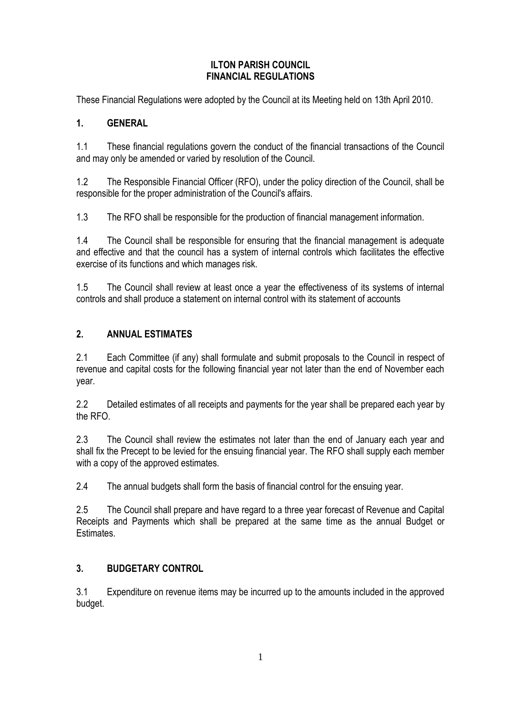#### **ILTON PARISH COUNCIL FINANCIAL REGULATIONS**

These Financial Regulations were adopted by the Council at its Meeting held on 13th April 2010.

## **1. GENERAL**

1.1 These financial regulations govern the conduct of the financial transactions of the Council and may only be amended or varied by resolution of the Council.

1.2 The Responsible Financial Officer (RFO), under the policy direction of the Council, shall be responsible for the proper administration of the Council's affairs.

1.3 The RFO shall be responsible for the production of financial management information.

1.4 The Council shall be responsible for ensuring that the financial management is adequate and effective and that the council has a system of internal controls which facilitates the effective exercise of its functions and which manages risk.

1.5 The Council shall review at least once a year the effectiveness of its systems of internal controls and shall produce a statement on internal control with its statement of accounts

## **2. ANNUAL ESTIMATES**

2.1 Each Committee (if any) shall formulate and submit proposals to the Council in respect of revenue and capital costs for the following financial year not later than the end of November each year.

2.2 Detailed estimates of all receipts and payments for the year shall be prepared each year by the RFO.

2.3 The Council shall review the estimates not later than the end of January each year and shall fix the Precept to be levied for the ensuing financial year. The RFO shall supply each member with a copy of the approved estimates.

2.4 The annual budgets shall form the basis of financial control for the ensuing year.

2.5 The Council shall prepare and have regard to a three year forecast of Revenue and Capital Receipts and Payments which shall be prepared at the same time as the annual Budget or Estimates.

# **3. BUDGETARY CONTROL**

3.1 Expenditure on revenue items may be incurred up to the amounts included in the approved budget.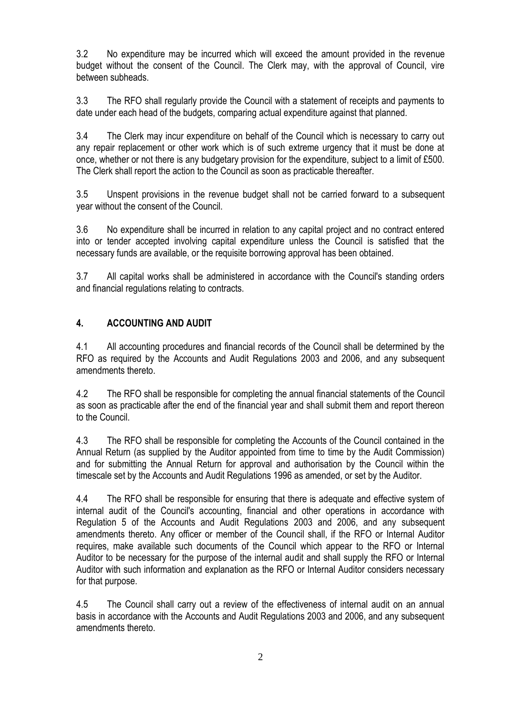3.2 No expenditure may be incurred which will exceed the amount provided in the revenue budget without the consent of the Council. The Clerk may, with the approval of Council, vire between subheads.

3.3 The RFO shall regularly provide the Council with a statement of receipts and payments to date under each head of the budgets, comparing actual expenditure against that planned.

3.4 The Clerk may incur expenditure on behalf of the Council which is necessary to carry out any repair replacement or other work which is of such extreme urgency that it must be done at once, whether or not there is any budgetary provision for the expenditure, subject to a limit of £500. The Clerk shall report the action to the Council as soon as practicable thereafter.

3.5 Unspent provisions in the revenue budget shall not be carried forward to a subsequent year without the consent of the Council.

3.6 No expenditure shall be incurred in relation to any capital project and no contract entered into or tender accepted involving capital expenditure unless the Council is satisfied that the necessary funds are available, or the requisite borrowing approval has been obtained.

3.7 All capital works shall be administered in accordance with the Council's standing orders and financial regulations relating to contracts.

# **4. ACCOUNTING AND AUDIT**

4.1 All accounting procedures and financial records of the Council shall be determined by the RFO as required by the Accounts and Audit Regulations 2003 and 2006, and any subsequent amendments thereto.

4.2 The RFO shall be responsible for completing the annual financial statements of the Council as soon as practicable after the end of the financial year and shall submit them and report thereon to the Council.

4.3 The RFO shall be responsible for completing the Accounts of the Council contained in the Annual Return (as supplied by the Auditor appointed from time to time by the Audit Commission) and for submitting the Annual Return for approval and authorisation by the Council within the timescale set by the Accounts and Audit Regulations 1996 as amended, or set by the Auditor.

4.4 The RFO shall be responsible for ensuring that there is adequate and effective system of internal audit of the Council's accounting, financial and other operations in accordance with Regulation 5 of the Accounts and Audit Regulations 2003 and 2006, and any subsequent amendments thereto. Any officer or member of the Council shall, if the RFO or Internal Auditor requires, make available such documents of the Council which appear to the RFO or Internal Auditor to be necessary for the purpose of the internal audit and shall supply the RFO or Internal Auditor with such information and explanation as the RFO or Internal Auditor considers necessary for that purpose.

4.5 The Council shall carry out a review of the effectiveness of internal audit on an annual basis in accordance with the Accounts and Audit Regulations 2003 and 2006, and any subsequent amendments thereto.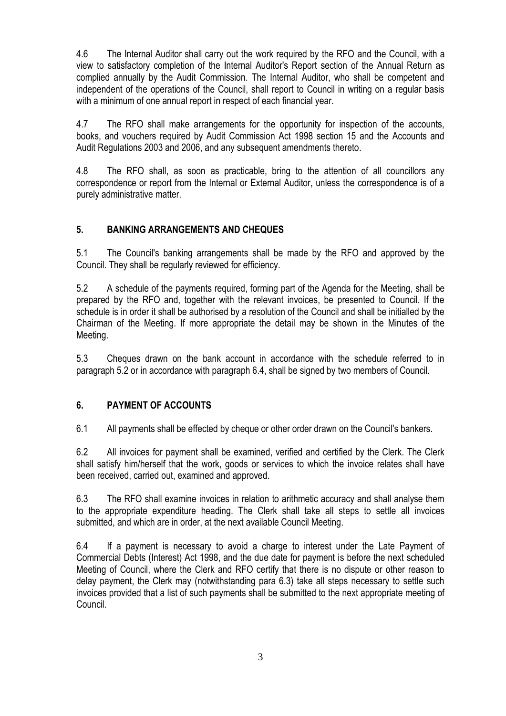4.6 The Internal Auditor shall carry out the work required by the RFO and the Council, with a view to satisfactory completion of the Internal Auditor's Report section of the Annual Return as complied annually by the Audit Commission. The Internal Auditor, who shall be competent and independent of the operations of the Council, shall report to Council in writing on a regular basis with a minimum of one annual report in respect of each financial year.

4.7 The RFO shall make arrangements for the opportunity for inspection of the accounts, books, and vouchers required by Audit Commission Act 1998 section 15 and the Accounts and Audit Regulations 2003 and 2006, and any subsequent amendments thereto.

4.8 The RFO shall, as soon as practicable, bring to the attention of all councillors any correspondence or report from the Internal or External Auditor, unless the correspondence is of a purely administrative matter.

# **5. BANKING ARRANGEMENTS AND CHEQUES**

5.1 The Council's banking arrangements shall be made by the RFO and approved by the Council. They shall be regularly reviewed for efficiency.

5.2 A schedule of the payments required, forming part of the Agenda for the Meeting, shall be prepared by the RFO and, together with the relevant invoices, be presented to Council. If the schedule is in order it shall be authorised by a resolution of the Council and shall be initialled by the Chairman of the Meeting. If more appropriate the detail may be shown in the Minutes of the Meeting.

5.3 Cheques drawn on the bank account in accordance with the schedule referred to in paragraph 5.2 or in accordance with paragraph 6.4, shall be signed by two members of Council.

# **6. PAYMENT OF ACCOUNTS**

6.1 All payments shall be effected by cheque or other order drawn on the Council's bankers.

6.2 All invoices for payment shall be examined, verified and certified by the Clerk. The Clerk shall satisfy him/herself that the work, goods or services to which the invoice relates shall have been received, carried out, examined and approved.

6.3 The RFO shall examine invoices in relation to arithmetic accuracy and shall analyse them to the appropriate expenditure heading. The Clerk shall take all steps to settle all invoices submitted, and which are in order, at the next available Council Meeting.

6.4 If a payment is necessary to avoid a charge to interest under the Late Payment of Commercial Debts (Interest) Act 1998, and the due date for payment is before the next scheduled Meeting of Council, where the Clerk and RFO certify that there is no dispute or other reason to delay payment, the Clerk may (notwithstanding para 6.3) take all steps necessary to settle such invoices provided that a list of such payments shall be submitted to the next appropriate meeting of Council.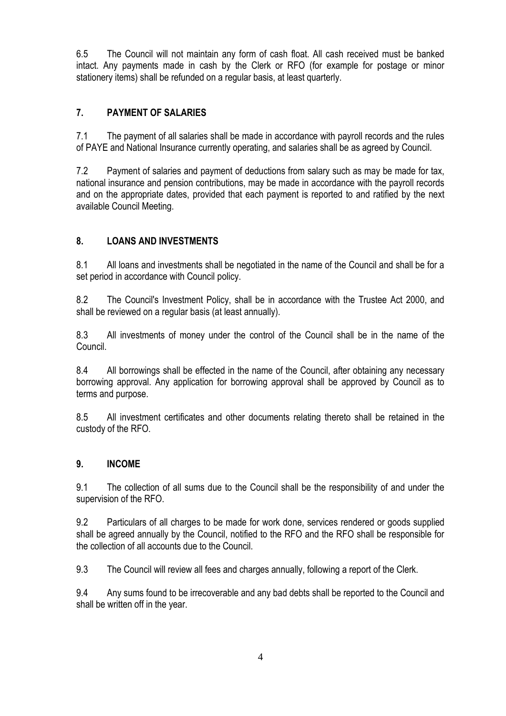6.5 The Council will not maintain any form of cash float. All cash received must be banked intact. Any payments made in cash by the Clerk or RFO (for example for postage or minor stationery items) shall be refunded on a regular basis, at least quarterly.

# **7. PAYMENT OF SALARIES**

7.1 The payment of all salaries shall be made in accordance with payroll records and the rules of PAYE and National Insurance currently operating, and salaries shall be as agreed by Council.

7.2 Payment of salaries and payment of deductions from salary such as may be made for tax, national insurance and pension contributions, may be made in accordance with the payroll records and on the appropriate dates, provided that each payment is reported to and ratified by the next available Council Meeting.

# **8. LOANS AND INVESTMENTS**

8.1 All loans and investments shall be negotiated in the name of the Council and shall be for a set period in accordance with Council policy.

8.2 The Council's Investment Policy, shall be in accordance with the Trustee Act 2000, and shall be reviewed on a regular basis (at least annually).

8.3 All investments of money under the control of the Council shall be in the name of the Council.

8.4 All borrowings shall be effected in the name of the Council, after obtaining any necessary borrowing approval. Any application for borrowing approval shall be approved by Council as to terms and purpose.

8.5 All investment certificates and other documents relating thereto shall be retained in the custody of the RFO.

# **9. INCOME**

9.1 The collection of all sums due to the Council shall be the responsibility of and under the supervision of the RFO.

9.2 Particulars of all charges to be made for work done, services rendered or goods supplied shall be agreed annually by the Council, notified to the RFO and the RFO shall be responsible for the collection of all accounts due to the Council.

9.3 The Council will review all fees and charges annually, following a report of the Clerk.

9.4 Any sums found to be irrecoverable and any bad debts shall be reported to the Council and shall be written off in the year.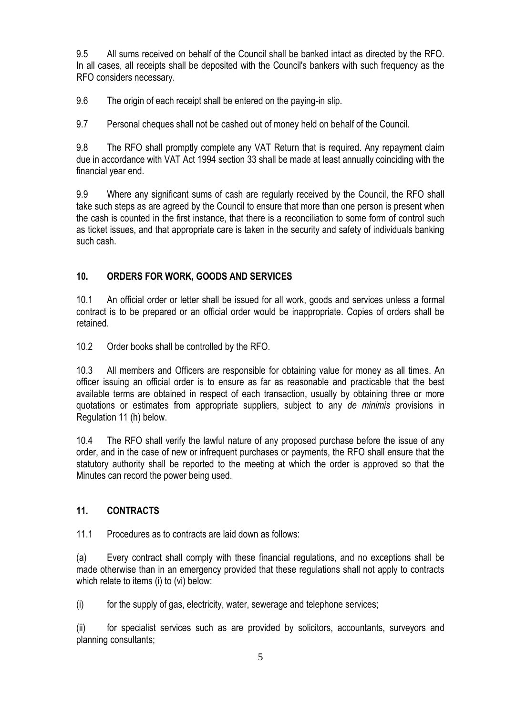9.5 All sums received on behalf of the Council shall be banked intact as directed by the RFO. In all cases, all receipts shall be deposited with the Council's bankers with such frequency as the RFO considers necessary.

9.6 The origin of each receipt shall be entered on the paying-in slip.

9.7 Personal cheques shall not be cashed out of money held on behalf of the Council.

9.8 The RFO shall promptly complete any VAT Return that is required. Any repayment claim due in accordance with VAT Act 1994 section 33 shall be made at least annually coinciding with the financial year end.

9.9 Where any significant sums of cash are regularly received by the Council, the RFO shall take such steps as are agreed by the Council to ensure that more than one person is present when the cash is counted in the first instance, that there is a reconciliation to some form of control such as ticket issues, and that appropriate care is taken in the security and safety of individuals banking such cash.

## **10. ORDERS FOR WORK, GOODS AND SERVICES**

10.1 An official order or letter shall be issued for all work, goods and services unless a formal contract is to be prepared or an official order would be inappropriate. Copies of orders shall be retained.

10.2 Order books shall be controlled by the RFO.

10.3 All members and Officers are responsible for obtaining value for money as all times. An officer issuing an official order is to ensure as far as reasonable and practicable that the best available terms are obtained in respect of each transaction, usually by obtaining three or more quotations or estimates from appropriate suppliers, subject to any *de minimis* provisions in Regulation 11 (h) below.

10.4 The RFO shall verify the lawful nature of any proposed purchase before the issue of any order, and in the case of new or infrequent purchases or payments, the RFO shall ensure that the statutory authority shall be reported to the meeting at which the order is approved so that the Minutes can record the power being used.

#### **11. CONTRACTS**

11.1 Procedures as to contracts are laid down as follows:

(a) Every contract shall comply with these financial regulations, and no exceptions shall be made otherwise than in an emergency provided that these regulations shall not apply to contracts which relate to items (i) to (vi) below:

(i) for the supply of gas, electricity, water, sewerage and telephone services;

(ii) for specialist services such as are provided by solicitors, accountants, surveyors and planning consultants;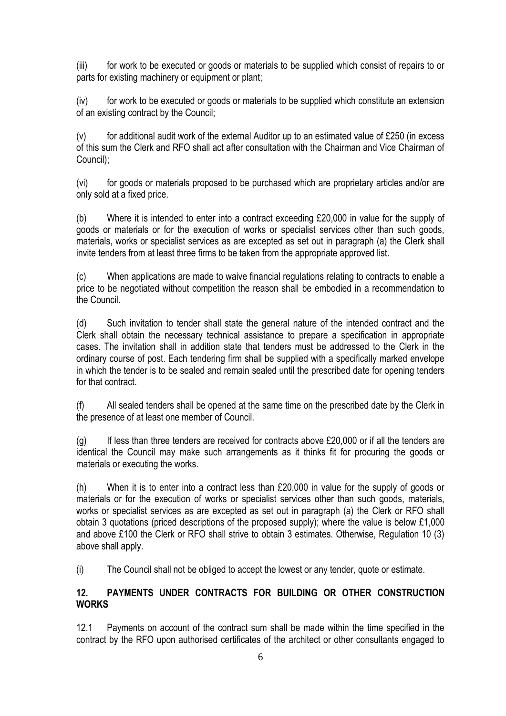(iii) for work to be executed or goods or materials to be supplied which consist of repairs to or parts for existing machinery or equipment or plant;

(iv) for work to be executed or goods or materials to be supplied which constitute an extension of an existing contract by the Council;

 $(v)$  for additional audit work of the external Auditor up to an estimated value of £250 (in excess of this sum the Clerk and RFO shall act after consultation with the Chairman and Vice Chairman of Council);

(vi) for goods or materials proposed to be purchased which are proprietary articles and/or are only sold at a fixed price.

(b) Where it is intended to enter into a contract exceeding £20,000 in value for the supply of goods or materials or for the execution of works or specialist services other than such goods, materials, works or specialist services as are excepted as set out in paragraph (a) the Clerk shall invite tenders from at least three firms to be taken from the appropriate approved list.

(c) When applications are made to waive financial regulations relating to contracts to enable a price to be negotiated without competition the reason shall be embodied in a recommendation to the Council.

(d) Such invitation to tender shall state the general nature of the intended contract and the Clerk shall obtain the necessary technical assistance to prepare a specification in appropriate cases. The invitation shall in addition state that tenders must be addressed to the Clerk in the ordinary course of post. Each tendering firm shall be supplied with a specifically marked envelope in which the tender is to be sealed and remain sealed until the prescribed date for opening tenders for that contract.

(f) All sealed tenders shall be opened at the same time on the prescribed date by the Clerk in the presence of at least one member of Council.

 $(q)$  If less than three tenders are received for contracts above £20,000 or if all the tenders are identical the Council may make such arrangements as it thinks fit for procuring the goods or materials or executing the works.

(h) When it is to enter into a contract less than £20,000 in value for the supply of goods or materials or for the execution of works or specialist services other than such goods, materials, works or specialist services as are excepted as set out in paragraph (a) the Clerk or RFO shall obtain 3 quotations (priced descriptions of the proposed supply); where the value is below £1,000 and above £100 the Clerk or RFO shall strive to obtain 3 estimates. Otherwise, Regulation 10 (3) above shall apply.

(i) The Council shall not be obliged to accept the lowest or any tender, quote or estimate.

# **12. PAYMENTS UNDER CONTRACTS FOR BUILDING OR OTHER CONSTRUCTION WORKS**

12.1 Payments on account of the contract sum shall be made within the time specified in the contract by the RFO upon authorised certificates of the architect or other consultants engaged to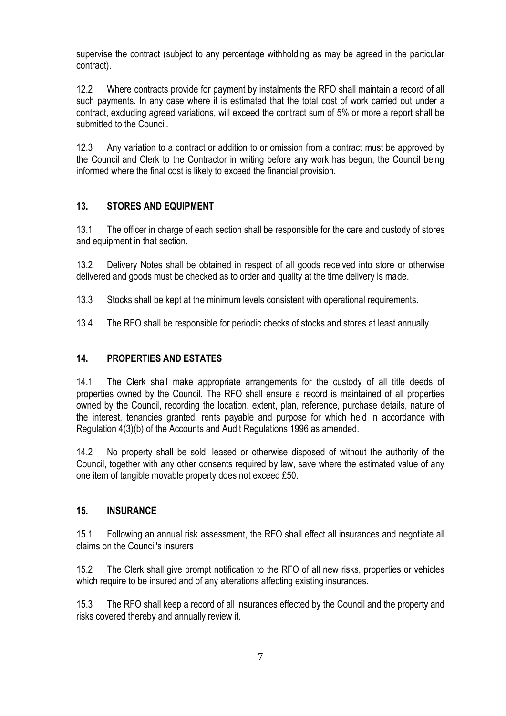supervise the contract (subject to any percentage withholding as may be agreed in the particular contract).

12.2 Where contracts provide for payment by instalments the RFO shall maintain a record of all such payments. In any case where it is estimated that the total cost of work carried out under a contract, excluding agreed variations, will exceed the contract sum of 5% or more a report shall be submitted to the Council.

12.3 Any variation to a contract or addition to or omission from a contract must be approved by the Council and Clerk to the Contractor in writing before any work has begun, the Council being informed where the final cost is likely to exceed the financial provision.

# **13. STORES AND EQUIPMENT**

13.1 The officer in charge of each section shall be responsible for the care and custody of stores and equipment in that section.

13.2 Delivery Notes shall be obtained in respect of all goods received into store or otherwise delivered and goods must be checked as to order and quality at the time delivery is made.

- 13.3 Stocks shall be kept at the minimum levels consistent with operational requirements.
- 13.4 The RFO shall be responsible for periodic checks of stocks and stores at least annually.

#### **14. PROPERTIES AND ESTATES**

14.1 The Clerk shall make appropriate arrangements for the custody of all title deeds of properties owned by the Council. The RFO shall ensure a record is maintained of all properties owned by the Council, recording the location, extent, plan, reference, purchase details, nature of the interest, tenancies granted, rents payable and purpose for which held in accordance with Regulation 4(3)(b) of the Accounts and Audit Regulations 1996 as amended.

14.2 No property shall be sold, leased or otherwise disposed of without the authority of the Council, together with any other consents required by law, save where the estimated value of any one item of tangible movable property does not exceed £50.

#### **15. INSURANCE**

15.1 Following an annual risk assessment, the RFO shall effect all insurances and negotiate all claims on the Council's insurers

15.2 The Clerk shall give prompt notification to the RFO of all new risks, properties or vehicles which require to be insured and of any alterations affecting existing insurances.

15.3 The RFO shall keep a record of all insurances effected by the Council and the property and risks covered thereby and annually review it.